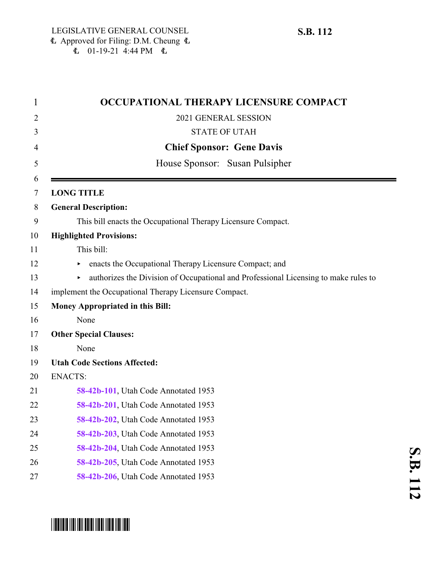| 1      | OCCUPATIONAL THERAPY LICENSURE COMPACT                                              |
|--------|-------------------------------------------------------------------------------------|
| 2      | 2021 GENERAL SESSION                                                                |
| 3      | <b>STATE OF UTAH</b>                                                                |
| 4      | <b>Chief Sponsor: Gene Davis</b>                                                    |
| 5      | House Sponsor: Susan Pulsipher                                                      |
| 6<br>7 | <b>LONG TITLE</b>                                                                   |
| 8      | <b>General Description:</b>                                                         |
| 9      | This bill enacts the Occupational Therapy Licensure Compact.                        |
| 10     | <b>Highlighted Provisions:</b>                                                      |
| 11     | This bill:                                                                          |
| 12     | enacts the Occupational Therapy Licensure Compact; and                              |
| 13     | authorizes the Division of Occupational and Professional Licensing to make rules to |
| 14     | implement the Occupational Therapy Licensure Compact.                               |
| 15     | Money Appropriated in this Bill:                                                    |
| 16     | None                                                                                |
| 17     | <b>Other Special Clauses:</b>                                                       |
| 18     | None                                                                                |
| 19     | <b>Utah Code Sections Affected:</b>                                                 |
| 20     | <b>ENACTS:</b>                                                                      |
| 21     | 58-42b-101, Utah Code Annotated 1953                                                |
| 22     | 58-42b-201, Utah Code Annotated 1953                                                |
| 23     | 58-42b-202, Utah Code Annotated 1953                                                |
| 24     | 58-42b-203, Utah Code Annotated 1953                                                |
| 25     | 58-42b-204, Utah Code Annotated 1953                                                |
| 26     | 58-42b-205, Utah Code Annotated 1953                                                |
| 27     | 58-42b-206, Utah Code Annotated 1953                                                |

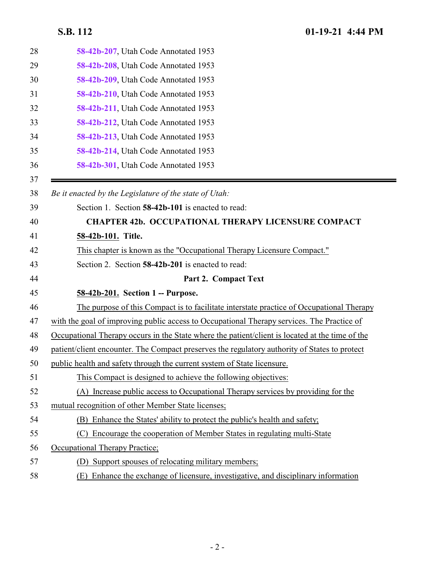<span id="page-1-1"></span><span id="page-1-0"></span>

| 58-42b-207, Utah Code Annotated 1953                                                            |
|-------------------------------------------------------------------------------------------------|
| 58-42b-208, Utah Code Annotated 1953                                                            |
| 58-42b-209, Utah Code Annotated 1953                                                            |
| 58-42b-210, Utah Code Annotated 1953                                                            |
| 58-42b-211, Utah Code Annotated 1953                                                            |
| 58-42b-212, Utah Code Annotated 1953                                                            |
| 58-42b-213, Utah Code Annotated 1953                                                            |
| 58-42b-214, Utah Code Annotated 1953                                                            |
| 58-42b-301, Utah Code Annotated 1953                                                            |
| Be it enacted by the Legislature of the state of Utah:                                          |
| Section 1. Section 58-42b-101 is enacted to read:                                               |
| <b>CHAPTER 42b. OCCUPATIONAL THERAPY LICENSURE COMPACT</b>                                      |
| 58-42b-101. Title.                                                                              |
| This chapter is known as the "Occupational Therapy Licensure Compact."                          |
| Section 2. Section 58-42b-201 is enacted to read:                                               |
| Part 2. Compact Text                                                                            |
| 58-42b-201. Section 1 -- Purpose.                                                               |
| The purpose of this Compact is to facilitate interstate practice of Occupational Therapy        |
| with the goal of improving public access to Occupational Therapy services. The Practice of      |
| Occupational Therapy occurs in the State where the patient/client is located at the time of the |
| patient/client encounter. The Compact preserves the regulatory authority of States to protect   |
| public health and safety through the current system of State licensure                          |
| This Compact is designed to achieve the following objectives:                                   |
| (A) Increase public access to Occupational Therapy services by providing for the                |
| mutual recognition of other Member State licenses;                                              |
| (B) Enhance the States' ability to protect the public's health and safety;                      |
| Encourage the cooperation of Member States in regulating multi-State<br>(C)                     |
| Occupational Therapy Practice;                                                                  |
| Support spouses of relocating military members;<br>(D)                                          |
| Enhance the exchange of licensure, investigative, and disciplinary information<br>(E)           |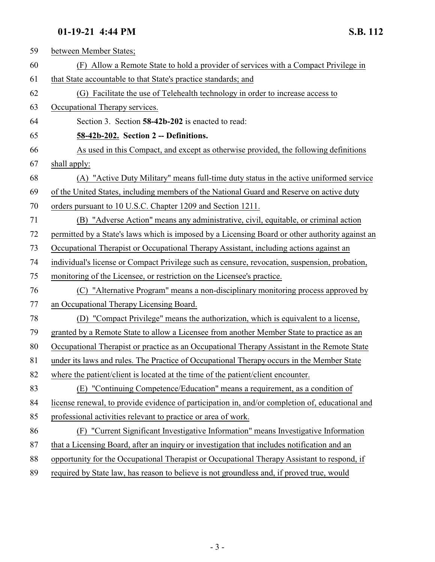<span id="page-2-0"></span>

| 59 | between Member States;                                                                          |
|----|-------------------------------------------------------------------------------------------------|
| 60 | (F) Allow a Remote State to hold a provider of services with a Compact Privilege in             |
| 61 | that State accountable to that State's practice standards; and                                  |
| 62 | (G) Facilitate the use of Telehealth technology in order to increase access to                  |
| 63 | Occupational Therapy services.                                                                  |
| 64 | Section 3. Section 58-42b-202 is enacted to read:                                               |
| 65 | 58-42b-202. Section 2 -- Definitions.                                                           |
| 66 | As used in this Compact, and except as otherwise provided, the following definitions            |
| 67 | shall apply:                                                                                    |
| 68 | (A) "Active Duty Military" means full-time duty status in the active uniformed service          |
| 69 | of the United States, including members of the National Guard and Reserve on active duty        |
| 70 | orders pursuant to 10 U.S.C. Chapter 1209 and Section 1211.                                     |
| 71 | (B) "Adverse Action" means any administrative, civil, equitable, or criminal action             |
| 72 | permitted by a State's laws which is imposed by a Licensing Board or other authority against an |
| 73 | Occupational Therapist or Occupational Therapy Assistant, including actions against an          |
| 74 | individual's license or Compact Privilege such as censure, revocation, suspension, probation,   |
| 75 | monitoring of the Licensee, or restriction on the Licensee's practice.                          |
| 76 | (C) "Alternative Program" means a non-disciplinary monitoring process approved by               |
| 77 | an Occupational Therapy Licensing Board.                                                        |
| 78 | (D) "Compact Privilege" means the authorization, which is equivalent to a license,              |
| 79 | granted by a Remote State to allow a Licensee from another Member State to practice as an       |
| 80 | Occupational Therapist or practice as an Occupational Therapy Assistant in the Remote State     |
| 81 | under its laws and rules. The Practice of Occupational Therapy occurs in the Member State       |
| 82 | where the patient/client is located at the time of the patient/client encounter.                |
| 83 | (E) "Continuing Competence/Education" means a requirement, as a condition of                    |
| 84 | license renewal, to provide evidence of participation in, and/or completion of, educational and |
| 85 | professional activities relevant to practice or area of work.                                   |
| 86 | (F) "Current Significant Investigative Information" means Investigative Information             |
| 87 | that a Licensing Board, after an inquiry or investigation that includes notification and an     |
| 88 | opportunity for the Occupational Therapist or Occupational Therapy Assistant to respond, if     |
| 89 | required by State law, has reason to believe is not groundless and, if proved true, would       |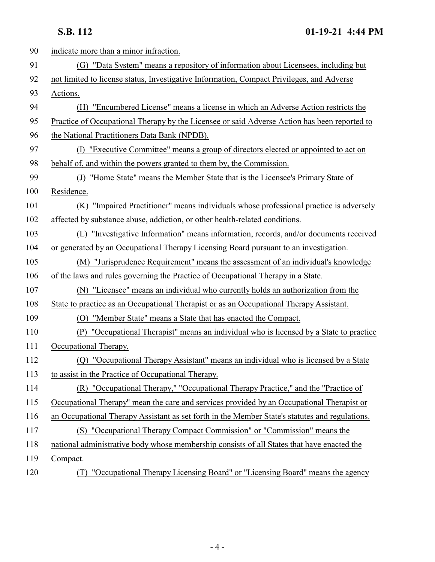| 90  | indicate more than a minor infraction.                                                         |
|-----|------------------------------------------------------------------------------------------------|
| 91  | (G) "Data System" means a repository of information about Licensees, including but             |
| 92  | not limited to license status, Investigative Information, Compact Privileges, and Adverse      |
| 93  | Actions.                                                                                       |
| 94  | "Encumbered License" means a license in which an Adverse Action restricts the<br>(H)           |
| 95  | Practice of Occupational Therapy by the Licensee or said Adverse Action has been reported to   |
| 96  | the National Practitioners Data Bank (NPDB).                                                   |
| 97  | "Executive Committee" means a group of directors elected or appointed to act on<br>(I)         |
| 98  | behalf of, and within the powers granted to them by, the Commission.                           |
| 99  | (J) "Home State" means the Member State that is the Licensee's Primary State of                |
| 100 | Residence.                                                                                     |
| 101 | "Impaired Practitioner" means individuals whose professional practice is adversely<br>(K)      |
| 102 | affected by substance abuse, addiction, or other health-related conditions.                    |
| 103 | (L) "Investigative Information" means information, records, and/or documents received          |
| 104 | or generated by an Occupational Therapy Licensing Board pursuant to an investigation.          |
| 105 | (M) "Jurisprudence Requirement" means the assessment of an individual's knowledge              |
| 106 | of the laws and rules governing the Practice of Occupational Therapy in a State.               |
| 107 | (N) "Licensee" means an individual who currently holds an authorization from the               |
| 108 | State to practice as an Occupational Therapist or as an Occupational Therapy Assistant.        |
| 109 | (O) "Member State" means a State that has enacted the Compact.                                 |
| 110 | "Occupational Therapist" means an individual who is licensed by a State to practice<br>(P)     |
| 111 | Occupational Therapy.                                                                          |
| 112 | (Q) "Occupational Therapy Assistant" means an individual who is licensed by a State            |
| 113 | to assist in the Practice of Occupational Therapy.                                             |
| 114 | (R) "Occupational Therapy," "Occupational Therapy Practice," and the "Practice of              |
| 115 | Occupational Therapy" mean the care and services provided by an Occupational Therapist or      |
| 116 | an Occupational Therapy Assistant as set forth in the Member State's statutes and regulations. |
| 117 | (S) "Occupational Therapy Compact Commission" or "Commission" means the                        |
| 118 | national administrative body whose membership consists of all States that have enacted the     |
| 119 | Compact.                                                                                       |
| 120 | "Occupational Therapy Licensing Board" or "Licensing Board" means the agency<br>(T)            |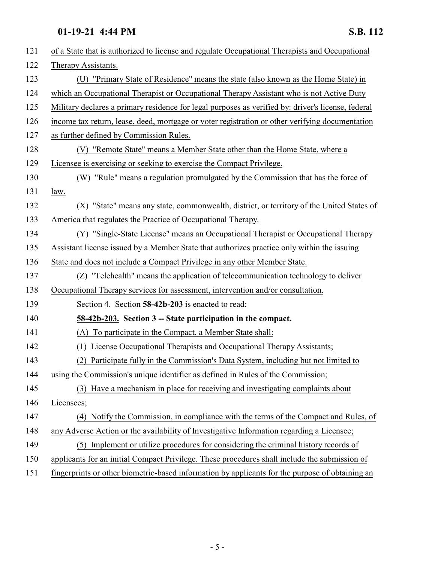<span id="page-4-0"></span>

| 121 | of a State that is authorized to license and regulate Occupational Therapists and Occupational     |
|-----|----------------------------------------------------------------------------------------------------|
| 122 | Therapy Assistants.                                                                                |
| 123 | (U) "Primary State of Residence" means the state (also known as the Home State) in                 |
| 124 | which an Occupational Therapist or Occupational Therapy Assistant who is not Active Duty           |
| 125 | Military declares a primary residence for legal purposes as verified by: driver's license, federal |
| 126 | income tax return, lease, deed, mortgage or voter registration or other verifying documentation    |
| 127 | as further defined by Commission Rules.                                                            |
| 128 | (V) "Remote State" means a Member State other than the Home State, where a                         |
| 129 | Licensee is exercising or seeking to exercise the Compact Privilege.                               |
| 130 | (W) "Rule" means a regulation promulgated by the Commission that has the force of                  |
| 131 | law.                                                                                               |
| 132 | (X) "State" means any state, commonwealth, district, or territory of the United States of          |
| 133 | America that regulates the Practice of Occupational Therapy.                                       |
| 134 | (Y) "Single-State License" means an Occupational Therapist or Occupational Therapy                 |
| 135 | Assistant license issued by a Member State that authorizes practice only within the issuing        |
| 136 | State and does not include a Compact Privilege in any other Member State.                          |
| 137 | "Telehealth" means the application of telecommunication technology to deliver<br>(Z)               |
| 138 | Occupational Therapy services for assessment, intervention and/or consultation.                    |
| 139 | Section 4. Section 58-42b-203 is enacted to read:                                                  |
| 140 | 58-42b-203. Section 3 -- State participation in the compact.                                       |
| 141 | (A) To participate in the Compact, a Member State shall:                                           |
| 142 | (1) License Occupational Therapists and Occupational Therapy Assistants;                           |
| 143 | (2) Participate fully in the Commission's Data System, including but not limited to                |
| 144 | using the Commission's unique identifier as defined in Rules of the Commission;                    |
| 145 | (3) Have a mechanism in place for receiving and investigating complaints about                     |
| 146 | Licensees;                                                                                         |
| 147 | (4) Notify the Commission, in compliance with the terms of the Compact and Rules, of               |
| 148 | any Adverse Action or the availability of Investigative Information regarding a Licensee;          |
| 149 | (5) Implement or utilize procedures for considering the criminal history records of                |
| 150 | applicants for an initial Compact Privilege. These procedures shall include the submission of      |
| 151 | fingerprints or other biometric-based information by applicants for the purpose of obtaining an    |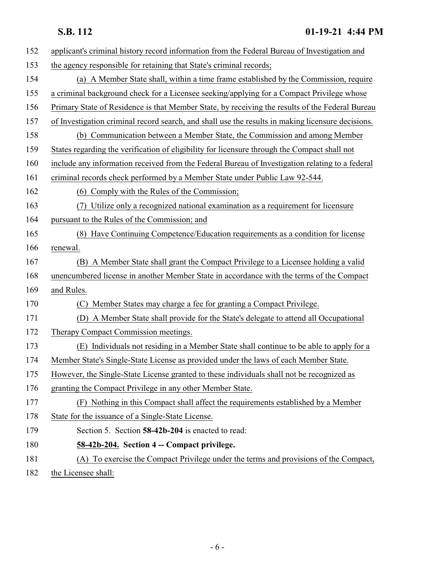# **S.B. 112 01-19-21 4:44 PM**

<span id="page-5-0"></span>

| 152 | applicant's criminal history record information from the Federal Bureau of Investigation and      |
|-----|---------------------------------------------------------------------------------------------------|
| 153 | the agency responsible for retaining that State's criminal records;                               |
| 154 | (a) A Member State shall, within a time frame established by the Commission, require              |
| 155 | a criminal background check for a Licensee seeking/applying for a Compact Privilege whose         |
| 156 | Primary State of Residence is that Member State, by receiving the results of the Federal Bureau   |
| 157 | of Investigation criminal record search, and shall use the results in making licensure decisions. |
| 158 | (b) Communication between a Member State, the Commission and among Member                         |
| 159 | States regarding the verification of eligibility for licensure through the Compact shall not      |
| 160 | include any information received from the Federal Bureau of Investigation relating to a federal   |
| 161 | criminal records check performed by a Member State under Public Law 92-544.                       |
| 162 | (6) Comply with the Rules of the Commission;                                                      |
| 163 | Utilize only a recognized national examination as a requirement for licensure<br>(7)              |
| 164 | pursuant to the Rules of the Commission; and                                                      |
| 165 | (8) Have Continuing Competence/Education requirements as a condition for license                  |
| 166 | renewal.                                                                                          |
| 167 | (B) A Member State shall grant the Compact Privilege to a Licensee holding a valid                |
| 168 | unencumbered license in another Member State in accordance with the terms of the Compact          |
| 169 | and Rules.                                                                                        |
| 170 | (C) Member States may charge a fee for granting a Compact Privilege.                              |
| 171 | (D)<br>A Member State shall provide for the State's delegate to attend all Occupational           |
| 172 | Therapy Compact Commission meetings.                                                              |
| 173 | Individuals not residing in a Member State shall continue to be able to apply for a<br>(E)        |
| 174 | Member State's Single-State License as provided under the laws of each Member State.              |
| 175 | However, the Single-State License granted to these individuals shall not be recognized as         |
| 176 | granting the Compact Privilege in any other Member State.                                         |
| 177 | (F) Nothing in this Compact shall affect the requirements established by a Member                 |
| 178 | State for the issuance of a Single-State License.                                                 |
| 179 | Section 5. Section 58-42b-204 is enacted to read:                                                 |
| 180 | 58-42b-204. Section 4 -- Compact privilege.                                                       |
| 181 | (A) To exercise the Compact Privilege under the terms and provisions of the Compact,              |
| 182 | the Licensee shall:                                                                               |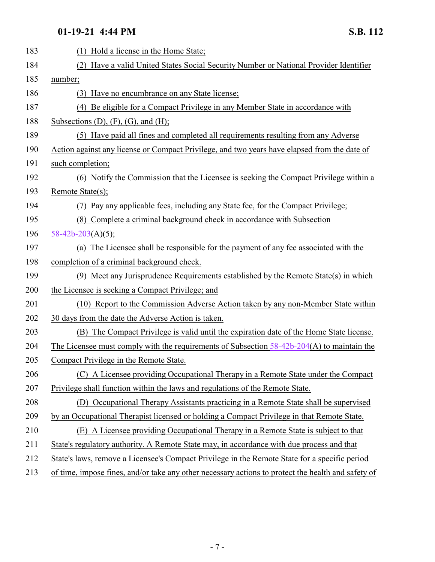| 183 | Hold a license in the Home State;<br>(1)                                                           |
|-----|----------------------------------------------------------------------------------------------------|
| 184 | Have a valid United States Social Security Number or National Provider Identifier                  |
| 185 | number;                                                                                            |
| 186 | (3) Have no encumbrance on any State license;                                                      |
| 187 | (4) Be eligible for a Compact Privilege in any Member State in accordance with                     |
| 188 | Subsections $(D)$ , $(F)$ , $(G)$ , and $(H)$ ;                                                    |
| 189 | (5) Have paid all fines and completed all requirements resulting from any Adverse                  |
| 190 | Action against any license or Compact Privilege, and two years have elapsed from the date of       |
| 191 | such completion;                                                                                   |
| 192 | (6) Notify the Commission that the Licensee is seeking the Compact Privilege within a              |
| 193 | Remote State(s);                                                                                   |
| 194 | (7) Pay any applicable fees, including any State fee, for the Compact Privilege;                   |
| 195 | (8) Complete a criminal background check in accordance with Subsection                             |
| 196 | $58-42b-203(A)(5);$                                                                                |
| 197 | (a) The Licensee shall be responsible for the payment of any fee associated with the               |
| 198 | completion of a criminal background check.                                                         |
| 199 | (9) Meet any Jurisprudence Requirements established by the Remote State(s) in which                |
| 200 | the Licensee is seeking a Compact Privilege; and                                                   |
| 201 | (10) Report to the Commission Adverse Action taken by any non-Member State within                  |
| 202 | 30 days from the date the Adverse Action is taken.                                                 |
| 203 | (B) The Compact Privilege is valid until the expiration date of the Home State license.            |
| 204 | The Licensee must comply with the requirements of Subsection $58-42b-204(A)$ to maintain the       |
| 205 | Compact Privilege in the Remote State.                                                             |
| 206 | (C) A Licensee providing Occupational Therapy in a Remote State under the Compact                  |
| 207 | Privilege shall function within the laws and regulations of the Remote State.                      |
| 208 | (D) Occupational Therapy Assistants practicing in a Remote State shall be supervised               |
| 209 | by an Occupational Therapist licensed or holding a Compact Privilege in that Remote State.         |
| 210 | (E) A Licensee providing Occupational Therapy in a Remote State is subject to that                 |
| 211 | State's regulatory authority. A Remote State may, in accordance with due process and that          |
| 212 | State's laws, remove a Licensee's Compact Privilege in the Remote State for a specific period      |
| 213 | of time, impose fines, and/or take any other necessary actions to protect the health and safety of |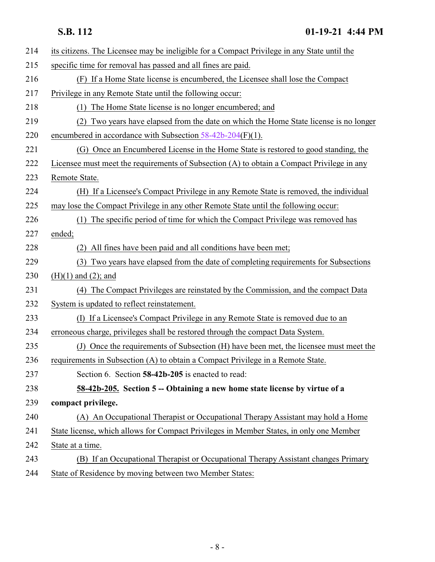<span id="page-7-0"></span>

| 214 | its citizens. The Licensee may be ineligible for a Compact Privilege in any State until the |
|-----|---------------------------------------------------------------------------------------------|
| 215 | specific time for removal has passed and all fines are paid.                                |
| 216 | (F) If a Home State license is encumbered, the Licensee shall lose the Compact              |
| 217 | Privilege in any Remote State until the following occur:                                    |
| 218 | The Home State license is no longer encumbered; and<br>(1)                                  |
| 219 | Two years have elapsed from the date on which the Home State license is no longer<br>(2)    |
| 220 | encumbered in accordance with Subsection $58-42b-204(F)(1)$ .                               |
| 221 | (G) Once an Encumbered License in the Home State is restored to good standing, the          |
| 222 | Licensee must meet the requirements of Subsection (A) to obtain a Compact Privilege in any  |
| 223 | Remote State.                                                                               |
| 224 | (H) If a Licensee's Compact Privilege in any Remote State is removed, the individual        |
| 225 | may lose the Compact Privilege in any other Remote State until the following occur:         |
| 226 | The specific period of time for which the Compact Privilege was removed has<br>(1)          |
| 227 | ended;                                                                                      |
| 228 | (2) All fines have been paid and all conditions have been met;                              |
| 229 | Two years have elapsed from the date of completing requirements for Subsections<br>(3)      |
| 230 | $(H)(1)$ and $(2)$ ; and                                                                    |
| 231 | The Compact Privileges are reinstated by the Commission, and the compact Data<br>(4)        |
| 232 | System is updated to reflect reinstatement.                                                 |
| 233 | (I) If a Licensee's Compact Privilege in any Remote State is removed due to an              |
| 234 | erroneous charge, privileges shall be restored through the compact Data System.             |
| 235 | (J) Once the requirements of Subsection (H) have been met, the licensee must meet the       |
| 236 | requirements in Subsection (A) to obtain a Compact Privilege in a Remote State.             |
| 237 | Section 6. Section 58-42b-205 is enacted to read:                                           |
| 238 | 58-42b-205. Section 5 -- Obtaining a new home state license by virtue of a                  |
| 239 | compact privilege.                                                                          |
| 240 | (A) An Occupational Therapist or Occupational Therapy Assistant may hold a Home             |
| 241 | State license, which allows for Compact Privileges in Member States, in only one Member     |
| 242 | State at a time.                                                                            |
| 243 | (B) If an Occupational Therapist or Occupational Therapy Assistant changes Primary          |
| 244 | State of Residence by moving between two Member States:                                     |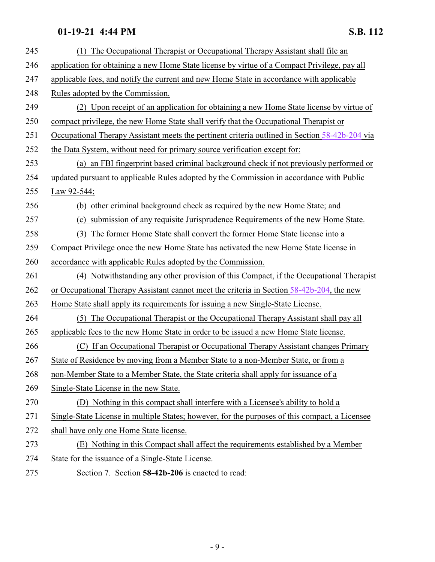<span id="page-8-0"></span>

| 245 | (1) The Occupational Therapist or Occupational Therapy Assistant shall file an                 |
|-----|------------------------------------------------------------------------------------------------|
| 246 | application for obtaining a new Home State license by virtue of a Compact Privilege, pay all   |
| 247 | applicable fees, and notify the current and new Home State in accordance with applicable       |
| 248 | Rules adopted by the Commission.                                                               |
| 249 | (2) Upon receipt of an application for obtaining a new Home State license by virtue of         |
| 250 | compact privilege, the new Home State shall verify that the Occupational Therapist or          |
| 251 | Occupational Therapy Assistant meets the pertinent criteria outlined in Section 58-42b-204 via |
| 252 | the Data System, without need for primary source verification except for:                      |
| 253 | (a) an FBI fingerprint based criminal background check if not previously performed or          |
| 254 | updated pursuant to applicable Rules adopted by the Commission in accordance with Public       |
| 255 | Law 92-544;                                                                                    |
| 256 | (b) other criminal background check as required by the new Home State; and                     |
| 257 | (c) submission of any requisite Jurisprudence Requirements of the new Home State.              |
| 258 | The former Home State shall convert the former Home State license into a<br>(3)                |
| 259 | Compact Privilege once the new Home State has activated the new Home State license in          |
| 260 | accordance with applicable Rules adopted by the Commission.                                    |
| 261 | (4) Notwithstanding any other provision of this Compact, if the Occupational Therapist         |
| 262 | or Occupational Therapy Assistant cannot meet the criteria in Section 58-42b-204, the new      |
| 263 | Home State shall apply its requirements for issuing a new Single-State License.                |
| 264 | The Occupational Therapist or the Occupational Therapy Assistant shall pay all<br>(5)          |
| 265 | applicable fees to the new Home State in order to be issued a new Home State license.          |
| 266 | If an Occupational Therapist or Occupational Therapy Assistant changes Primary<br>(C)          |
| 267 | State of Residence by moving from a Member State to a non-Member State, or from a              |
| 268 | non-Member State to a Member State, the State criteria shall apply for issuance of a           |
| 269 | Single-State License in the new State.                                                         |
| 270 | (D) Nothing in this compact shall interfere with a Licensee's ability to hold a                |
| 271 | Single-State License in multiple States; however, for the purposes of this compact, a Licensee |
| 272 | shall have only one Home State license.                                                        |
| 273 | (E) Nothing in this Compact shall affect the requirements established by a Member              |
| 274 | State for the issuance of a Single-State License.                                              |
| 275 | Section 7. Section 58-42b-206 is enacted to read:                                              |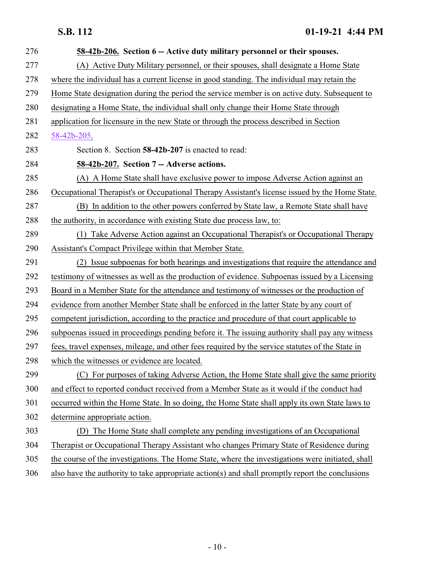<span id="page-9-0"></span>

| 276 | 58-42b-206. Section 6 -- Active duty military personnel or their spouses.                        |
|-----|--------------------------------------------------------------------------------------------------|
| 277 | (A) Active Duty Military personnel, or their spouses, shall designate a Home State               |
| 278 | where the individual has a current license in good standing. The individual may retain the       |
| 279 | Home State designation during the period the service member is on active duty. Subsequent to     |
| 280 | designating a Home State, the individual shall only change their Home State through              |
| 281 | application for licensure in the new State or through the process described in Section           |
| 282 | 58-42b-205                                                                                       |
| 283 | Section 8. Section 58-42b-207 is enacted to read:                                                |
| 284 | 58-42b-207. Section 7 -- Adverse actions.                                                        |
| 285 | (A) A Home State shall have exclusive power to impose Adverse Action against an                  |
| 286 | Occupational Therapist's or Occupational Therapy Assistant's license issued by the Home State.   |
| 287 | (B) In addition to the other powers conferred by State law, a Remote State shall have            |
| 288 | the authority, in accordance with existing State due process law, to:                            |
| 289 | (1) Take Adverse Action against an Occupational Therapist's or Occupational Therapy              |
| 290 | Assistant's Compact Privilege within that Member State.                                          |
| 291 | (2) Issue subpoenas for both hearings and investigations that require the attendance and         |
| 292 | testimony of witnesses as well as the production of evidence. Subpoenas issued by a Licensing    |
| 293 | Board in a Member State for the attendance and testimony of witnesses or the production of       |
| 294 | evidence from another Member State shall be enforced in the latter State by any court of         |
| 295 | competent jurisdiction, according to the practice and procedure of that court applicable to      |
| 296 | subpoenas issued in proceedings pending before it. The issuing authority shall pay any witness   |
| 297 | fees, travel expenses, mileage, and other fees required by the service statutes of the State in  |
| 298 | which the witnesses or evidence are located.                                                     |
| 299 | (C) For purposes of taking Adverse Action, the Home State shall give the same priority           |
| 300 | and effect to reported conduct received from a Member State as it would if the conduct had       |
| 301 | occurred within the Home State. In so doing, the Home State shall apply its own State laws to    |
| 302 | determine appropriate action.                                                                    |
| 303 | The Home State shall complete any pending investigations of an Occupational<br>(D)               |
| 304 | Therapist or Occupational Therapy Assistant who changes Primary State of Residence during        |
| 305 | the course of the investigations. The Home State, where the investigations were initiated, shall |
| 306 | also have the authority to take appropriate action(s) and shall promptly report the conclusions  |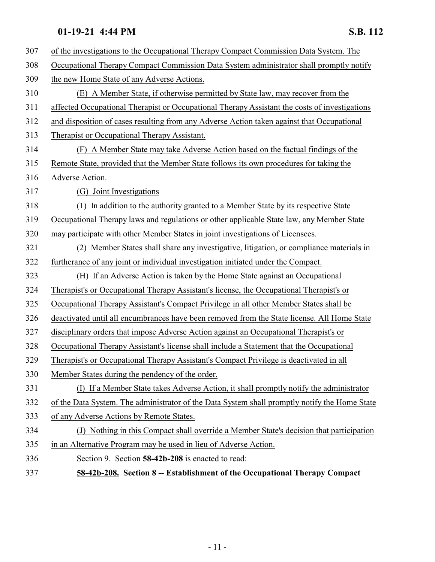<span id="page-10-0"></span>

| 307 | of the investigations to the Occupational Therapy Compact Commission Data System. The         |
|-----|-----------------------------------------------------------------------------------------------|
| 308 | Occupational Therapy Compact Commission Data System administrator shall promptly notify       |
| 309 | the new Home State of any Adverse Actions.                                                    |
| 310 | (E) A Member State, if otherwise permitted by State law, may recover from the                 |
| 311 | affected Occupational Therapist or Occupational Therapy Assistant the costs of investigations |
| 312 | and disposition of cases resulting from any Adverse Action taken against that Occupational    |
| 313 | Therapist or Occupational Therapy Assistant.                                                  |
| 314 | (F) A Member State may take Adverse Action based on the factual findings of the               |
| 315 | Remote State, provided that the Member State follows its own procedures for taking the        |
| 316 | Adverse Action.                                                                               |
| 317 | (G) Joint Investigations                                                                      |
| 318 | (1) In addition to the authority granted to a Member State by its respective State            |
| 319 | Occupational Therapy laws and regulations or other applicable State law, any Member State     |
| 320 | may participate with other Member States in joint investigations of Licensees.                |
| 321 | (2) Member States shall share any investigative, litigation, or compliance materials in       |
| 322 | furtherance of any joint or individual investigation initiated under the Compact.             |
| 323 | (H) If an Adverse Action is taken by the Home State against an Occupational                   |
| 324 | Therapist's or Occupational Therapy Assistant's license, the Occupational Therapist's or      |
| 325 | Occupational Therapy Assistant's Compact Privilege in all other Member States shall be        |
| 326 | deactivated until all encumbrances have been removed from the State license. All Home State   |
| 327 | disciplinary orders that impose Adverse Action against an Occupational Therapist's or         |
| 328 | Occupational Therapy Assistant's license shall include a Statement that the Occupational      |
| 329 | Therapist's or Occupational Therapy Assistant's Compact Privilege is deactivated in all       |
| 330 | Member States during the pendency of the order.                                               |
| 331 | (I) If a Member State takes Adverse Action, it shall promptly notify the administrator        |
| 332 | of the Data System. The administrator of the Data System shall promptly notify the Home State |
| 333 | of any Adverse Actions by Remote States.                                                      |
| 334 | (J) Nothing in this Compact shall override a Member State's decision that participation       |
| 335 | in an Alternative Program may be used in lieu of Adverse Action.                              |
| 336 | Section 9. Section 58-42b-208 is enacted to read:                                             |
| 337 | 58-42b-208. Section 8 -- Establishment of the Occupational Therapy Compact                    |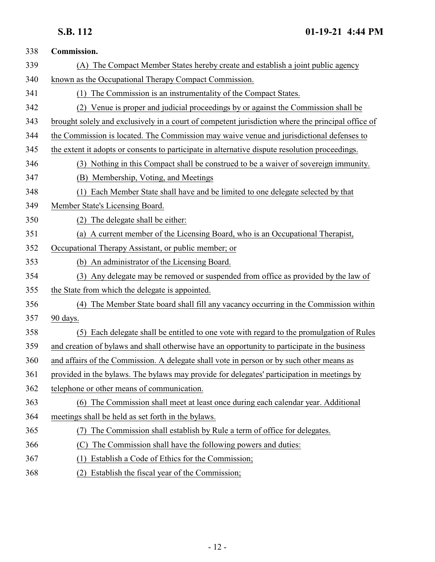| 338 | Commission.                                                                                       |
|-----|---------------------------------------------------------------------------------------------------|
| 339 | (A) The Compact Member States hereby create and establish a joint public agency                   |
| 340 | known as the Occupational Therapy Compact Commission.                                             |
| 341 | (1) The Commission is an instrumentality of the Compact States.                                   |
| 342 | (2) Venue is proper and judicial proceedings by or against the Commission shall be                |
| 343 | brought solely and exclusively in a court of competent jurisdiction where the principal office of |
| 344 | the Commission is located. The Commission may waive venue and jurisdictional defenses to          |
| 345 | the extent it adopts or consents to participate in alternative dispute resolution proceedings.    |
| 346 | (3) Nothing in this Compact shall be construed to be a waiver of sovereign immunity.              |
| 347 | (B) Membership, Voting, and Meetings                                                              |
| 348 | Each Member State shall have and be limited to one delegate selected by that<br>(1)               |
| 349 | Member State's Licensing Board.                                                                   |
| 350 | (2) The delegate shall be either:                                                                 |
| 351 | A current member of the Licensing Board, who is an Occupational Therapist,<br>(a)                 |
| 352 | Occupational Therapy Assistant, or public member; or                                              |
| 353 | (b) An administrator of the Licensing Board.                                                      |
| 354 | (3) Any delegate may be removed or suspended from office as provided by the law of                |
| 355 | the State from which the delegate is appointed.                                                   |
| 356 | (4) The Member State board shall fill any vacancy occurring in the Commission within              |
| 357 | 90 days.                                                                                          |
| 358 | (5) Each delegate shall be entitled to one vote with regard to the promulgation of Rules          |
| 359 | and creation of bylaws and shall otherwise have an opportunity to participate in the business     |
| 360 | and affairs of the Commission. A delegate shall vote in person or by such other means as          |
| 361 | provided in the bylaws. The bylaws may provide for delegates' participation in meetings by        |
| 362 | telephone or other means of communication.                                                        |
| 363 | (6) The Commission shall meet at least once during each calendar year. Additional                 |
| 364 | meetings shall be held as set forth in the bylaws.                                                |
| 365 | The Commission shall establish by Rule a term of office for delegates.                            |
| 366 | The Commission shall have the following powers and duties:<br>(C)                                 |
| 367 | Establish a Code of Ethics for the Commission;<br>(1)                                             |
| 368 | (2) Establish the fiscal year of the Commission;                                                  |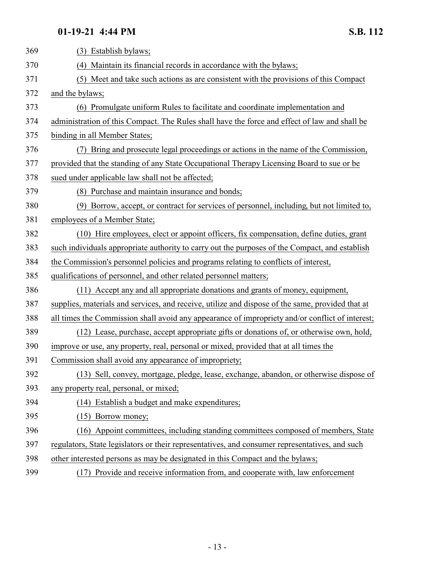| 369 | (3) Establish bylaws;                                                                            |
|-----|--------------------------------------------------------------------------------------------------|
| 370 | (4) Maintain its financial records in accordance with the bylaws;                                |
| 371 | (5) Meet and take such actions as are consistent with the provisions of this Compact             |
| 372 | and the bylaws;                                                                                  |
| 373 | (6) Promulgate uniform Rules to facilitate and coordinate implementation and                     |
| 374 | administration of this Compact. The Rules shall have the force and effect of law and shall be    |
| 375 | binding in all Member States;                                                                    |
| 376 | (7) Bring and prosecute legal proceedings or actions in the name of the Commission,              |
| 377 | provided that the standing of any State Occupational Therapy Licensing Board to sue or be        |
| 378 | sued under applicable law shall not be affected;                                                 |
| 379 | (8) Purchase and maintain insurance and bonds;                                                   |
| 380 | (9) Borrow, accept, or contract for services of personnel, including, but not limited to,        |
| 381 | employees of a Member State;                                                                     |
| 382 | (10) Hire employees, elect or appoint officers, fix compensation, define duties, grant           |
| 383 | such individuals appropriate authority to carry out the purposes of the Compact, and establish   |
| 384 | the Commission's personnel policies and programs relating to conflicts of interest,              |
| 385 | qualifications of personnel, and other related personnel matters;                                |
| 386 | (11) Accept any and all appropriate donations and grants of money, equipment,                    |
| 387 | supplies, materials and services, and receive, utilize and dispose of the same, provided that at |
| 388 | all times the Commission shall avoid any appearance of impropriety and/or conflict of interest;  |
| 389 | (12) Lease, purchase, accept appropriate gifts or donations of, or otherwise own, hold,          |
| 390 | improve or use, any property, real, personal or mixed, provided that at all times the            |
| 391 | Commission shall avoid any appearance of impropriety;                                            |
| 392 | (13) Sell, convey, mortgage, pledge, lease, exchange, abandon, or otherwise dispose of           |
| 393 | any property real, personal, or mixed;                                                           |
| 394 | (14) Establish a budget and make expenditures;                                                   |
| 395 | $(15)$ Borrow money;                                                                             |
| 396 | (16) Appoint committees, including standing committees composed of members, State                |
| 397 | regulators, State legislators or their representatives, and consumer representatives, and such   |
| 398 | other interested persons as may be designated in this Compact and the bylaws;                    |
| 399 | (17) Provide and receive information from, and cooperate with, law enforcement                   |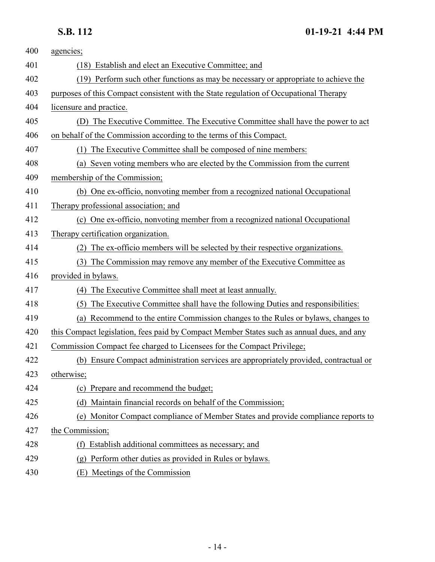# **S.B. 112 01-19-21 4:44 PM**

| 400 | agencies;                                                                                 |
|-----|-------------------------------------------------------------------------------------------|
| 401 | (18) Establish and elect an Executive Committee; and                                      |
| 402 | (19) Perform such other functions as may be necessary or appropriate to achieve the       |
| 403 | purposes of this Compact consistent with the State regulation of Occupational Therapy     |
| 404 | licensure and practice.                                                                   |
| 405 | (D) The Executive Committee. The Executive Committee shall have the power to act          |
| 406 | on behalf of the Commission according to the terms of this Compact.                       |
| 407 | (1) The Executive Committee shall be composed of nine members:                            |
| 408 | (a) Seven voting members who are elected by the Commission from the current               |
| 409 | membership of the Commission;                                                             |
| 410 | (b) One ex-officio, nonvoting member from a recognized national Occupational              |
| 411 | Therapy professional association; and                                                     |
| 412 | (c) One ex-officio, nonvoting member from a recognized national Occupational              |
| 413 | Therapy certification organization.                                                       |
| 414 | The ex-officio members will be selected by their respective organizations.<br>(2)         |
| 415 | The Commission may remove any member of the Executive Committee as<br>(3)                 |
| 416 | provided in bylaws.                                                                       |
| 417 | The Executive Committee shall meet at least annually.<br>(4)                              |
| 418 | The Executive Committee shall have the following Duties and responsibilities:<br>(5)      |
| 419 | (a) Recommend to the entire Commission changes to the Rules or bylaws, changes to         |
| 420 | this Compact legislation, fees paid by Compact Member States such as annual dues, and any |
| 421 | Commission Compact fee charged to Licensees for the Compact Privilege;                    |
| 422 | (b) Ensure Compact administration services are appropriately provided, contractual or     |
| 423 | otherwise;                                                                                |
| 424 | (c) Prepare and recommend the budget;                                                     |
| 425 | (d) Maintain financial records on behalf of the Commission;                               |
| 426 | (e) Monitor Compact compliance of Member States and provide compliance reports to         |
| 427 | the Commission;                                                                           |
| 428 | Establish additional committees as necessary; and<br>(f)                                  |
| 429 | Perform other duties as provided in Rules or bylaws.<br>(စ္ခ)                             |
| 430 | (E) Meetings of the Commission                                                            |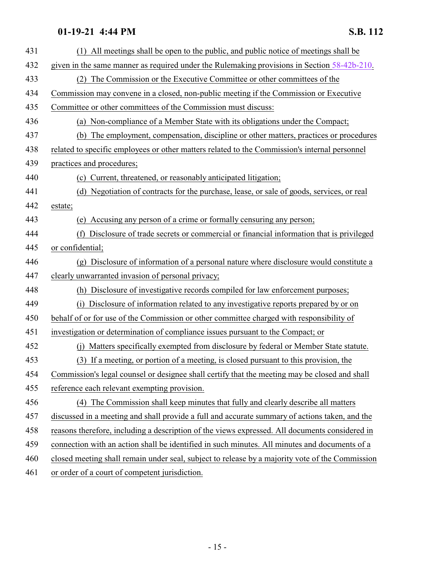| 431 | All meetings shall be open to the public, and public notice of meetings shall be<br>(1)         |
|-----|-------------------------------------------------------------------------------------------------|
| 432 | given in the same manner as required under the Rulemaking provisions in Section $58-42b-210$ .  |
| 433 | (2) The Commission or the Executive Committee or other committees of the                        |
| 434 | Commission may convene in a closed, non-public meeting if the Commission or Executive           |
| 435 | Committee or other committees of the Commission must discuss:                                   |
| 436 | (a) Non-compliance of a Member State with its obligations under the Compact;                    |
| 437 | (b) The employment, compensation, discipline or other matters, practices or procedures          |
| 438 | related to specific employees or other matters related to the Commission's internal personnel   |
| 439 | practices and procedures;                                                                       |
| 440 | (c) Current, threatened, or reasonably anticipated litigation;                                  |
| 441 | (d) Negotiation of contracts for the purchase, lease, or sale of goods, services, or real       |
| 442 | estate;                                                                                         |
| 443 | (e) Accusing any person of a crime or formally censuring any person;                            |
| 444 | Disclosure of trade secrets or commercial or financial information that is privileged<br>(f)    |
| 445 | or confidential;                                                                                |
| 446 | (g) Disclosure of information of a personal nature where disclosure would constitute a          |
| 447 | clearly unwarranted invasion of personal privacy;                                               |
| 448 | (h) Disclosure of investigative records compiled for law enforcement purposes;                  |
| 449 | (i) Disclosure of information related to any investigative reports prepared by or on            |
| 450 | behalf of or for use of the Commission or other committee charged with responsibility of        |
| 451 | investigation or determination of compliance issues pursuant to the Compact; or                 |
| 452 | Matters specifically exempted from disclosure by federal or Member State statute.<br>(i)        |
| 453 | (3) If a meeting, or portion of a meeting, is closed pursuant to this provision, the            |
| 454 | Commission's legal counsel or designee shall certify that the meeting may be closed and shall   |
| 455 | reference each relevant exempting provision.                                                    |
| 456 | (4) The Commission shall keep minutes that fully and clearly describe all matters               |
| 457 | discussed in a meeting and shall provide a full and accurate summary of actions taken, and the  |
| 458 | reasons therefore, including a description of the views expressed. All documents considered in  |
| 459 | connection with an action shall be identified in such minutes. All minutes and documents of a   |
| 460 | closed meeting shall remain under seal, subject to release by a majority vote of the Commission |
| 461 | or order of a court of competent jurisdiction.                                                  |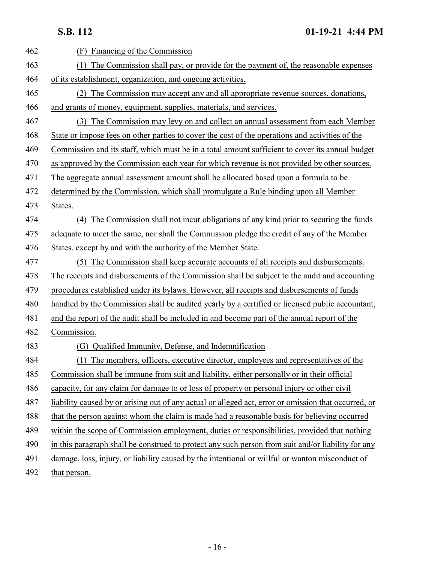**S.B. 112 01-19-21 4:44 PM**

| 462 | (F)<br>Financing of the Commission                                                                   |
|-----|------------------------------------------------------------------------------------------------------|
| 463 | The Commission shall pay, or provide for the payment of, the reasonable expenses                     |
| 464 | of its establishment, organization, and ongoing activities.                                          |
| 465 | (2) The Commission may accept any and all appropriate revenue sources, donations,                    |
| 466 | and grants of money, equipment, supplies, materials, and services.                                   |
| 467 | (3) The Commission may levy on and collect an annual assessment from each Member                     |
| 468 | State or impose fees on other parties to cover the cost of the operations and activities of the      |
| 469 | Commission and its staff, which must be in a total amount sufficient to cover its annual budget      |
| 470 | as approved by the Commission each year for which revenue is not provided by other sources.          |
| 471 | The aggregate annual assessment amount shall be allocated based upon a formula to be                 |
| 472 | determined by the Commission, which shall promulgate a Rule binding upon all Member                  |
| 473 | States.                                                                                              |
| 474 | (4) The Commission shall not incur obligations of any kind prior to securing the funds               |
| 475 | adequate to meet the same, nor shall the Commission pledge the credit of any of the Member           |
| 476 | States, except by and with the authority of the Member State.                                        |
| 477 | (5) The Commission shall keep accurate accounts of all receipts and disbursements.                   |
| 478 | The receipts and disbursements of the Commission shall be subject to the audit and accounting        |
| 479 | procedures established under its bylaws. However, all receipts and disbursements of funds            |
| 480 | handled by the Commission shall be audited yearly by a certified or licensed public accountant,      |
| 481 | and the report of the audit shall be included in and become part of the annual report of the         |
| 482 | Commission.                                                                                          |
| 483 | Qualified Immunity, Defense, and Indemnification<br>(G)                                              |
| 484 | (1) The members, officers, executive director, employees and representatives of the                  |
| 485 | Commission shall be immune from suit and liability, either personally or in their official           |
| 486 | capacity, for any claim for damage to or loss of property or personal injury or other civil          |
| 487 | liability caused by or arising out of any actual or alleged act, error or omission that occurred, or |
| 488 | that the person against whom the claim is made had a reasonable basis for believing occurred         |
| 489 | within the scope of Commission employment, duties or responsibilities, provided that nothing         |
| 490 | in this paragraph shall be construed to protect any such person from suit and/or liability for any   |
| 491 | damage, loss, injury, or liability caused by the intentional or willful or wanton misconduct of      |
| 492 | that person.                                                                                         |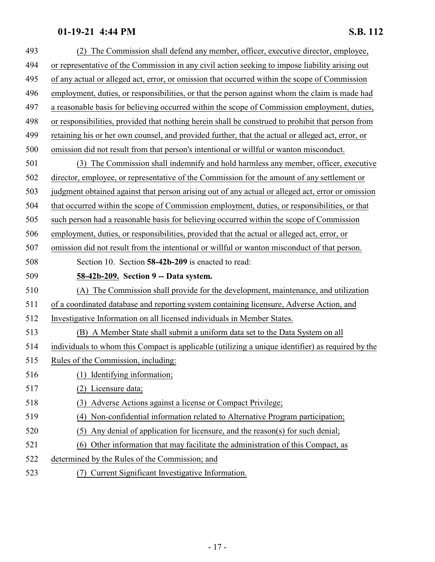<span id="page-16-0"></span>

| 493 | (2) The Commission shall defend any member, officer, executive director, employee,                |
|-----|---------------------------------------------------------------------------------------------------|
| 494 | or representative of the Commission in any civil action seeking to impose liability arising out   |
| 495 | of any actual or alleged act, error, or omission that occurred within the scope of Commission     |
| 496 | employment, duties, or responsibilities, or that the person against whom the claim is made had    |
| 497 | a reasonable basis for believing occurred within the scope of Commission employment, duties,      |
| 498 | or responsibilities, provided that nothing herein shall be construed to prohibit that person from |
| 499 | retaining his or her own counsel, and provided further, that the actual or alleged act, error, or |
| 500 | omission did not result from that person's intentional or willful or wanton misconduct.           |
| 501 | (3) The Commission shall indemnify and hold harmless any member, officer, executive               |
| 502 | director, employee, or representative of the Commission for the amount of any settlement or       |
| 503 | judgment obtained against that person arising out of any actual or alleged act, error or omission |
| 504 | that occurred within the scope of Commission employment, duties, or responsibilities, or that     |
| 505 | such person had a reasonable basis for believing occurred within the scope of Commission          |
| 506 | employment, duties, or responsibilities, provided that the actual or alleged act, error, or       |
| 507 | omission did not result from the intentional or willful or wanton misconduct of that person.      |
| 508 | Section 10. Section 58-42b-209 is enacted to read:                                                |
| 509 | 58-42b-209. Section 9 -- Data system.                                                             |
| 510 | The Commission shall provide for the development, maintenance, and utilization<br>(A)             |
| 511 | of a coordinated database and reporting system containing licensure, Adverse Action, and          |
| 512 | Investigative Information on all licensed individuals in Member States.                           |
| 513 | (B) A Member State shall submit a uniform data set to the Data System on all                      |
| 514 | individuals to whom this Compact is applicable (utilizing a unique identifier) as required by the |
| 515 | Rules of the Commission, including:                                                               |
| 516 | (1) Identifying information;                                                                      |
| 517 | Licensure data;<br>(2)                                                                            |
| 518 | Adverse Actions against a license or Compact Privilege;<br>(3)                                    |
| 519 | Non-confidential information related to Alternative Program participation;<br>(4)                 |
| 520 | Any denial of application for licensure, and the reason(s) for such denial;<br>(5)                |
| 521 | Other information that may facilitate the administration of this Compact, as<br>(6)               |
| 522 | determined by the Rules of the Commission; and                                                    |
| 523 | (7) Current Significant Investigative Information.                                                |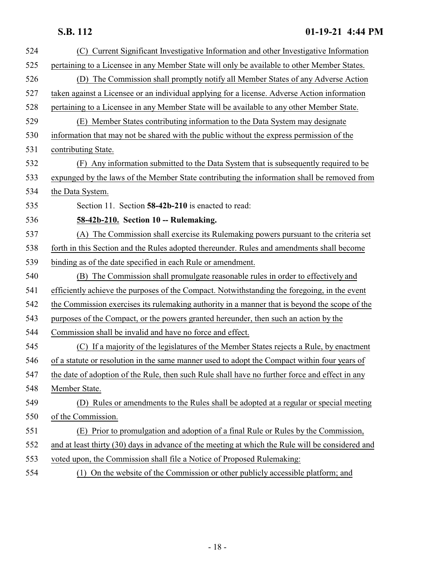<span id="page-17-0"></span>

| 524 | Current Significant Investigative Information and other Investigative Information<br>(C)         |
|-----|--------------------------------------------------------------------------------------------------|
| 525 | pertaining to a Licensee in any Member State will only be available to other Member States.      |
| 526 | (D) The Commission shall promptly notify all Member States of any Adverse Action                 |
| 527 | taken against a Licensee or an individual applying for a license. Adverse Action information     |
| 528 | pertaining to a Licensee in any Member State will be available to any other Member State.        |
| 529 | (E) Member States contributing information to the Data System may designate                      |
| 530 | information that may not be shared with the public without the express permission of the         |
| 531 | contributing State.                                                                              |
| 532 | (F) Any information submitted to the Data System that is subsequently required to be             |
| 533 | expunged by the laws of the Member State contributing the information shall be removed from      |
| 534 | the Data System.                                                                                 |
| 535 | Section 11. Section 58-42b-210 is enacted to read:                                               |
| 536 | 58-42b-210. Section 10 -- Rulemaking.                                                            |
| 537 | (A) The Commission shall exercise its Rulemaking powers pursuant to the criteria set             |
| 538 | forth in this Section and the Rules adopted thereunder. Rules and amendments shall become        |
| 539 | binding as of the date specified in each Rule or amendment.                                      |
| 540 | (B) The Commission shall promulgate reasonable rules in order to effectively and                 |
| 541 | efficiently achieve the purposes of the Compact. Notwithstanding the foregoing, in the event     |
| 542 | the Commission exercises its rulemaking authority in a manner that is beyond the scope of the    |
| 543 | purposes of the Compact, or the powers granted hereunder, then such an action by the             |
| 544 | Commission shall be invalid and have no force and effect.                                        |
| 545 | (C) If a majority of the legislatures of the Member States rejects a Rule, by enactment          |
| 546 | of a statute or resolution in the same manner used to adopt the Compact within four years of     |
| 547 | the date of adoption of the Rule, then such Rule shall have no further force and effect in any   |
| 548 | Member State.                                                                                    |
| 549 | (D) Rules or amendments to the Rules shall be adopted at a regular or special meeting            |
| 550 | of the Commission.                                                                               |
| 551 | (E) Prior to promulgation and adoption of a final Rule or Rules by the Commission,               |
| 552 | and at least thirty (30) days in advance of the meeting at which the Rule will be considered and |
| 553 | voted upon, the Commission shall file a Notice of Proposed Rulemaking:                           |
| 554 | (1) On the website of the Commission or other publicly accessible platform; and                  |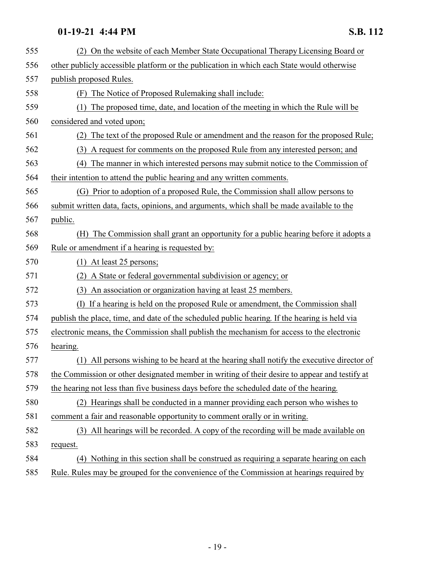| 555 | (2) On the website of each Member State Occupational Therapy Licensing Board or               |
|-----|-----------------------------------------------------------------------------------------------|
| 556 | other publicly accessible platform or the publication in which each State would otherwise     |
| 557 | publish proposed Rules.                                                                       |
| 558 | The Notice of Proposed Rulemaking shall include:<br>(F)                                       |
| 559 | The proposed time, date, and location of the meeting in which the Rule will be<br>(1)         |
| 560 | considered and voted upon;                                                                    |
| 561 | (2) The text of the proposed Rule or amendment and the reason for the proposed Rule;          |
| 562 | A request for comments on the proposed Rule from any interested person; and<br>(3)            |
| 563 | The manner in which interested persons may submit notice to the Commission of<br>(4)          |
| 564 | their intention to attend the public hearing and any written comments.                        |
| 565 | (G) Prior to adoption of a proposed Rule, the Commission shall allow persons to               |
| 566 | submit written data, facts, opinions, and arguments, which shall be made available to the     |
| 567 | public.                                                                                       |
| 568 | The Commission shall grant an opportunity for a public hearing before it adopts a<br>(H)      |
| 569 | Rule or amendment if a hearing is requested by:                                               |
| 570 | $(1)$ At least 25 persons;                                                                    |
| 571 | A State or federal governmental subdivision or agency; or<br>(2)                              |
| 572 | An association or organization having at least 25 members.<br>(3)                             |
| 573 | (I) If a hearing is held on the proposed Rule or amendment, the Commission shall              |
| 574 | publish the place, time, and date of the scheduled public hearing. If the hearing is held via |
| 575 | electronic means, the Commission shall publish the mechanism for access to the electronic     |
| 576 | hearing.                                                                                      |
| 577 | (1) All persons wishing to be heard at the hearing shall notify the executive director of     |
| 578 | the Commission or other designated member in writing of their desire to appear and testify at |
| 579 | the hearing not less than five business days before the scheduled date of the hearing.        |
| 580 | (2) Hearings shall be conducted in a manner providing each person who wishes to               |
| 581 | comment a fair and reasonable opportunity to comment orally or in writing.                    |
| 582 | (3) All hearings will be recorded. A copy of the recording will be made available on          |
| 583 | request.                                                                                      |
| 584 | (4) Nothing in this section shall be construed as requiring a separate hearing on each        |
| 585 | Rule. Rules may be grouped for the convenience of the Commission at hearings required by      |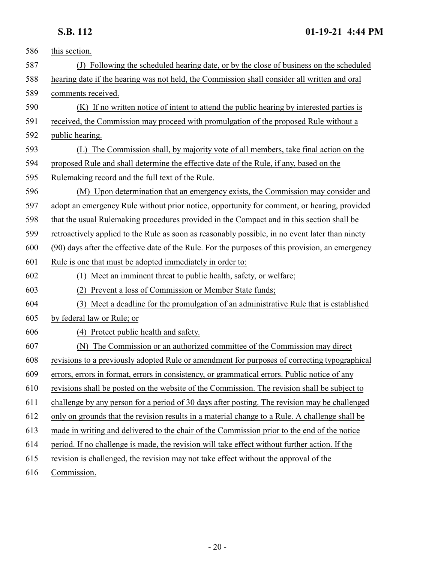| 586 | this section.                                                                                    |
|-----|--------------------------------------------------------------------------------------------------|
| 587 | (J) Following the scheduled hearing date, or by the close of business on the scheduled           |
| 588 | hearing date if the hearing was not held, the Commission shall consider all written and oral     |
| 589 | comments received.                                                                               |
| 590 | (K) If no written notice of intent to attend the public hearing by interested parties is         |
| 591 | received, the Commission may proceed with promulgation of the proposed Rule without a            |
| 592 | public hearing.                                                                                  |
| 593 | The Commission shall, by majority vote of all members, take final action on the                  |
| 594 | proposed Rule and shall determine the effective date of the Rule, if any, based on the           |
| 595 | Rulemaking record and the full text of the Rule.                                                 |
| 596 | (M) Upon determination that an emergency exists, the Commission may consider and                 |
| 597 | adopt an emergency Rule without prior notice, opportunity for comment, or hearing, provided      |
| 598 | that the usual Rulemaking procedures provided in the Compact and in this section shall be        |
| 599 | retroactively applied to the Rule as soon as reasonably possible, in no event later than ninety  |
| 600 | (90) days after the effective date of the Rule. For the purposes of this provision, an emergency |
| 601 | Rule is one that must be adopted immediately in order to:                                        |
| 602 | (1) Meet an imminent threat to public health, safety, or welfare;                                |
| 603 | Prevent a loss of Commission or Member State funds;                                              |
| 604 | (3) Meet a deadline for the promulgation of an administrative Rule that is established           |
| 605 | by federal law or Rule; or                                                                       |
| 606 | (4) Protect public health and safety.                                                            |
| 607 | The Commission or an authorized committee of the Commission may direct<br>(N)                    |
| 608 | revisions to a previously adopted Rule or amendment for purposes of correcting typographical     |
| 609 | errors, errors in format, errors in consistency, or grammatical errors. Public notice of any     |
| 610 | revisions shall be posted on the website of the Commission. The revision shall be subject to     |
| 611 | challenge by any person for a period of 30 days after posting. The revision may be challenged    |
| 612 | only on grounds that the revision results in a material change to a Rule. A challenge shall be   |
| 613 | made in writing and delivered to the chair of the Commission prior to the end of the notice      |
| 614 | period. If no challenge is made, the revision will take effect without further action. If the    |
| 615 | revision is challenged, the revision may not take effect without the approval of the             |
| 616 | Commission.                                                                                      |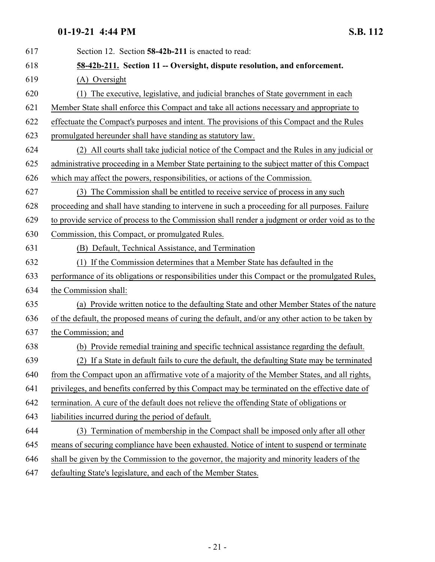<span id="page-20-0"></span>

| 617 | Section 12. Section 58-42b-211 is enacted to read:                                               |
|-----|--------------------------------------------------------------------------------------------------|
| 618 | 58-42b-211. Section 11 -- Oversight, dispute resolution, and enforcement.                        |
| 619 | (A) Oversight                                                                                    |
| 620 | The executive, legislative, and judicial branches of State government in each                    |
| 621 | Member State shall enforce this Compact and take all actions necessary and appropriate to        |
| 622 | effectuate the Compact's purposes and intent. The provisions of this Compact and the Rules       |
| 623 | promulgated hereunder shall have standing as statutory law.                                      |
| 624 | (2) All courts shall take judicial notice of the Compact and the Rules in any judicial or        |
| 625 | administrative proceeding in a Member State pertaining to the subject matter of this Compact     |
| 626 | which may affect the powers, responsibilities, or actions of the Commission.                     |
| 627 | The Commission shall be entitled to receive service of process in any such<br>(3)                |
| 628 | proceeding and shall have standing to intervene in such a proceeding for all purposes. Failure   |
| 629 | to provide service of process to the Commission shall render a judgment or order void as to the  |
| 630 | Commission, this Compact, or promulgated Rules.                                                  |
| 631 | (B) Default, Technical Assistance, and Termination                                               |
| 632 | (1) If the Commission determines that a Member State has defaulted in the                        |
| 633 | performance of its obligations or responsibilities under this Compact or the promulgated Rules,  |
| 634 | the Commission shall:                                                                            |
| 635 | (a) Provide written notice to the defaulting State and other Member States of the nature         |
| 636 | of the default, the proposed means of curing the default, and/or any other action to be taken by |
| 637 | the Commission; and                                                                              |
| 638 | (b) Provide remedial training and specific technical assistance regarding the default.           |
| 639 | (2) If a State in default fails to cure the default, the defaulting State may be terminated      |
| 640 | from the Compact upon an affirmative vote of a majority of the Member States, and all rights,    |
| 641 | privileges, and benefits conferred by this Compact may be terminated on the effective date of    |
| 642 | termination. A cure of the default does not relieve the offending State of obligations or        |
| 643 | liabilities incurred during the period of default.                                               |
| 644 | (3) Termination of membership in the Compact shall be imposed only after all other               |
| 645 | means of securing compliance have been exhausted. Notice of intent to suspend or terminate       |
| 646 | shall be given by the Commission to the governor, the majority and minority leaders of the       |
| 647 | defaulting State's legislature, and each of the Member States.                                   |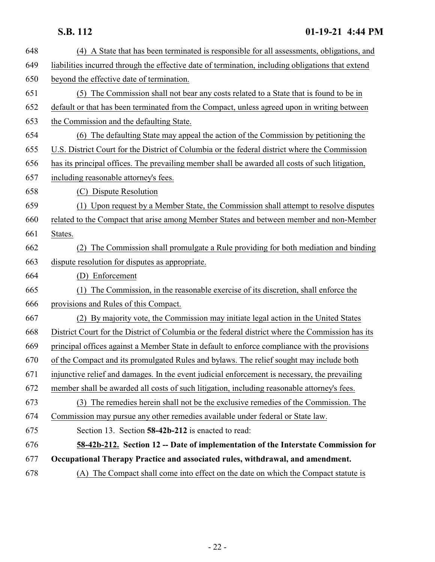<span id="page-21-0"></span>

| 648 | (4) A State that has been terminated is responsible for all assessments, obligations, and         |
|-----|---------------------------------------------------------------------------------------------------|
| 649 | liabilities incurred through the effective date of termination, including obligations that extend |
| 650 | beyond the effective date of termination.                                                         |
| 651 | (5) The Commission shall not bear any costs related to a State that is found to be in             |
| 652 | default or that has been terminated from the Compact, unless agreed upon in writing between       |
| 653 | the Commission and the defaulting State.                                                          |
| 654 | (6) The defaulting State may appeal the action of the Commission by petitioning the               |
| 655 | U.S. District Court for the District of Columbia or the federal district where the Commission     |
| 656 | has its principal offices. The prevailing member shall be awarded all costs of such litigation,   |
| 657 | including reasonable attorney's fees.                                                             |
| 658 | (C) Dispute Resolution                                                                            |
| 659 | (1) Upon request by a Member State, the Commission shall attempt to resolve disputes              |
| 660 | related to the Compact that arise among Member States and between member and non-Member           |
| 661 | States.                                                                                           |
| 662 | (2) The Commission shall promulgate a Rule providing for both mediation and binding               |
| 663 | dispute resolution for disputes as appropriate.                                                   |
| 664 | (D) Enforcement                                                                                   |
| 665 | The Commission, in the reasonable exercise of its discretion, shall enforce the<br>(1)            |
| 666 | provisions and Rules of this Compact.                                                             |
| 667 | (2) By majority vote, the Commission may initiate legal action in the United States               |
| 668 | District Court for the District of Columbia or the federal district where the Commission has its  |
| 669 | principal offices against a Member State in default to enforce compliance with the provisions     |
| 670 | of the Compact and its promulgated Rules and bylaws. The relief sought may include both           |
| 671 | injunctive relief and damages. In the event judicial enforcement is necessary, the prevailing     |
| 672 | member shall be awarded all costs of such litigation, including reasonable attorney's fees.       |
| 673 | (3) The remedies herein shall not be the exclusive remedies of the Commission. The                |
| 674 | Commission may pursue any other remedies available under federal or State law.                    |
| 675 | Section 13. Section 58-42b-212 is enacted to read:                                                |
| 676 | 58-42b-212. Section 12 -- Date of implementation of the Interstate Commission for                 |
| 677 | Occupational Therapy Practice and associated rules, withdrawal, and amendment.                    |
| 678 | The Compact shall come into effect on the date on which the Compact statute is<br>(A)             |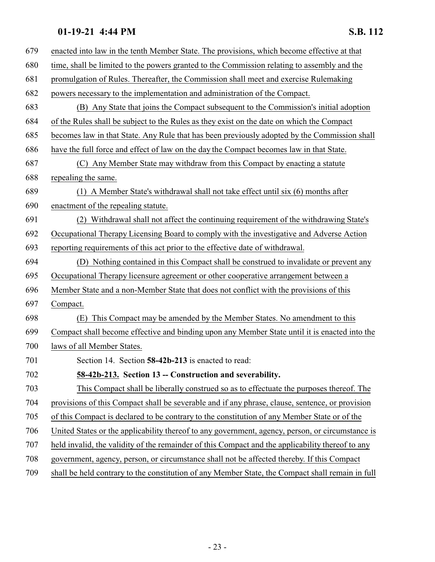<span id="page-22-0"></span>

| 679 | enacted into law in the tenth Member State. The provisions, which become effective at that       |
|-----|--------------------------------------------------------------------------------------------------|
| 680 | time, shall be limited to the powers granted to the Commission relating to assembly and the      |
| 681 | promulgation of Rules. Thereafter, the Commission shall meet and exercise Rulemaking             |
| 682 | powers necessary to the implementation and administration of the Compact.                        |
| 683 | (B) Any State that joins the Compact subsequent to the Commission's initial adoption             |
| 684 | of the Rules shall be subject to the Rules as they exist on the date on which the Compact        |
| 685 | becomes law in that State. Any Rule that has been previously adopted by the Commission shall     |
| 686 | have the full force and effect of law on the day the Compact becomes law in that State.          |
| 687 | (C) Any Member State may withdraw from this Compact by enacting a statute                        |
| 688 | repealing the same.                                                                              |
| 689 | (1) A Member State's withdrawal shall not take effect until six (6) months after                 |
| 690 | enactment of the repealing statute.                                                              |
| 691 | (2) Withdrawal shall not affect the continuing requirement of the withdrawing State's            |
| 692 | Occupational Therapy Licensing Board to comply with the investigative and Adverse Action         |
| 693 | reporting requirements of this act prior to the effective date of withdrawal.                    |
| 694 | (D) Nothing contained in this Compact shall be construed to invalidate or prevent any            |
| 695 | Occupational Therapy licensure agreement or other cooperative arrangement between a              |
| 696 | Member State and a non-Member State that does not conflict with the provisions of this           |
| 697 | Compact.                                                                                         |
| 698 | This Compact may be amended by the Member States. No amendment to this<br>(E)                    |
| 699 | Compact shall become effective and binding upon any Member State until it is enacted into the    |
| 700 | laws of all Member States.                                                                       |
| 701 | Section 14. Section 58-42b-213 is enacted to read:                                               |
| 702 | 58-42b-213. Section 13 -- Construction and severability.                                         |
| 703 | This Compact shall be liberally construed so as to effectuate the purposes thereof. The          |
| 704 | provisions of this Compact shall be severable and if any phrase, clause, sentence, or provision  |
| 705 | of this Compact is declared to be contrary to the constitution of any Member State or of the     |
| 706 | United States or the applicability thereof to any government, agency, person, or circumstance is |
| 707 | held invalid, the validity of the remainder of this Compact and the applicability thereof to any |
| 708 | government, agency, person, or circumstance shall not be affected thereby. If this Compact       |
| 709 | shall be held contrary to the constitution of any Member State, the Compact shall remain in full |